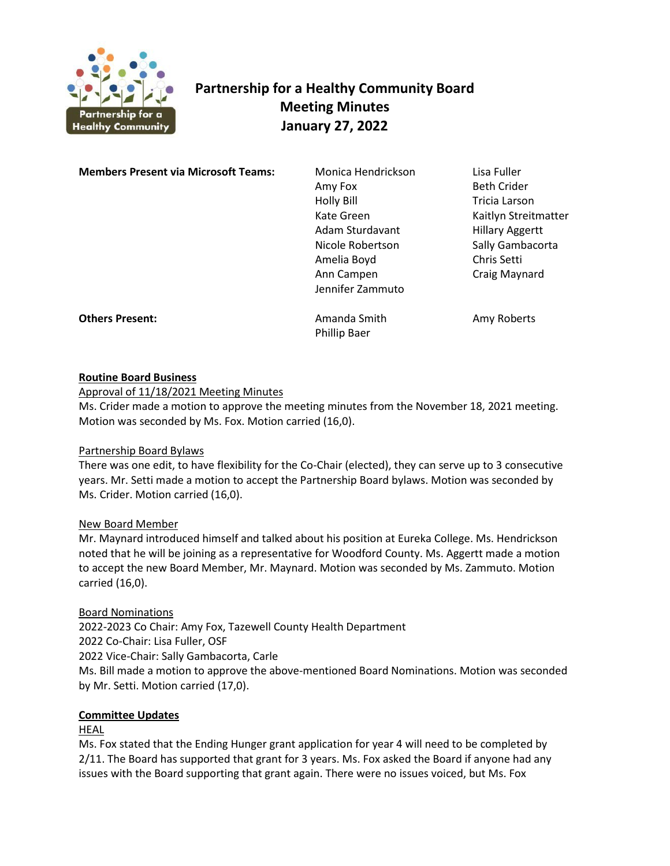

# **Partnership for a Healthy Community Board Meeting Minutes January 27, 2022**

**Members Present via Microsoft Teams:** Monica Hendrickson Lisa Fuller

Amy Fox Beth Crider Holly Bill **Tricia Larson** Adam Sturdavant Hillary Aggertt Nicole Robertson Sally Gambacorta Amelia Boyd Chris Setti Ann Campen Craig Maynard Jennifer Zammuto

Kate Green Kaitlyn Streitmatter

**Others Present: Amanda Smith** Amy Roberts

Phillip Baer

## **Routine Board Business**

Approval of 11/18/2021 Meeting Minutes

Ms. Crider made a motion to approve the meeting minutes from the November 18, 2021 meeting. Motion was seconded by Ms. Fox. Motion carried (16,0).

## Partnership Board Bylaws

There was one edit, to have flexibility for the Co-Chair (elected), they can serve up to 3 consecutive years. Mr. Setti made a motion to accept the Partnership Board bylaws. Motion was seconded by Ms. Crider. Motion carried (16,0).

## New Board Member

Mr. Maynard introduced himself and talked about his position at Eureka College. Ms. Hendrickson noted that he will be joining as a representative for Woodford County. Ms. Aggertt made a motion to accept the new Board Member, Mr. Maynard. Motion was seconded by Ms. Zammuto. Motion carried (16,0).

## Board Nominations

2022-2023 Co Chair: Amy Fox, Tazewell County Health Department 2022 Co-Chair: Lisa Fuller, OSF 2022 Vice-Chair: Sally Gambacorta, Carle Ms. Bill made a motion to approve the above-mentioned Board Nominations. Motion was seconded by Mr. Setti. Motion carried (17,0).

## **Committee Updates**

HEAL

Ms. Fox stated that the Ending Hunger grant application for year 4 will need to be completed by 2/11. The Board has supported that grant for 3 years. Ms. Fox asked the Board if anyone had any issues with the Board supporting that grant again. There were no issues voiced, but Ms. Fox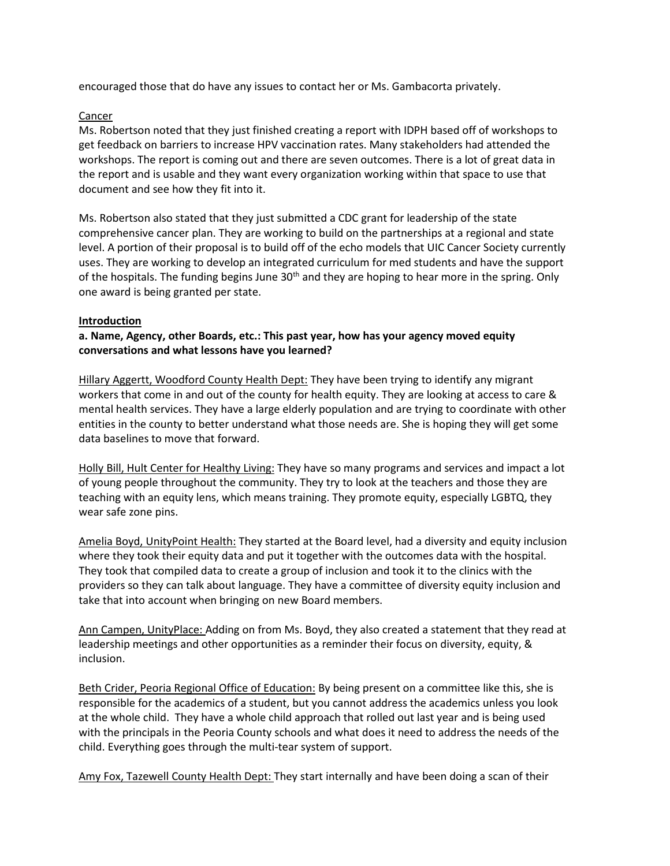encouraged those that do have any issues to contact her or Ms. Gambacorta privately.

## Cancer

Ms. Robertson noted that they just finished creating a report with IDPH based off of workshops to get feedback on barriers to increase HPV vaccination rates. Many stakeholders had attended the workshops. The report is coming out and there are seven outcomes. There is a lot of great data in the report and is usable and they want every organization working within that space to use that document and see how they fit into it.

Ms. Robertson also stated that they just submitted a CDC grant for leadership of the state comprehensive cancer plan. They are working to build on the partnerships at a regional and state level. A portion of their proposal is to build off of the echo models that UIC Cancer Society currently uses. They are working to develop an integrated curriculum for med students and have the support of the hospitals. The funding begins June 30<sup>th</sup> and they are hoping to hear more in the spring. Only one award is being granted per state.

## **Introduction**

**a. Name, Agency, other Boards, etc.: This past year, how has your agency moved equity conversations and what lessons have you learned?**

Hillary Aggertt, Woodford County Health Dept: They have been trying to identify any migrant workers that come in and out of the county for health equity. They are looking at access to care & mental health services. They have a large elderly population and are trying to coordinate with other entities in the county to better understand what those needs are. She is hoping they will get some data baselines to move that forward.

Holly Bill, Hult Center for Healthy Living: They have so many programs and services and impact a lot of young people throughout the community. They try to look at the teachers and those they are teaching with an equity lens, which means training. They promote equity, especially LGBTQ, they wear safe zone pins.

Amelia Boyd, UnityPoint Health: They started at the Board level, had a diversity and equity inclusion where they took their equity data and put it together with the outcomes data with the hospital. They took that compiled data to create a group of inclusion and took it to the clinics with the providers so they can talk about language. They have a committee of diversity equity inclusion and take that into account when bringing on new Board members.

Ann Campen, UnityPlace: Adding on from Ms. Boyd, they also created a statement that they read at leadership meetings and other opportunities as a reminder their focus on diversity, equity, & inclusion.

Beth Crider, Peoria Regional Office of Education: By being present on a committee like this, she is responsible for the academics of a student, but you cannot address the academics unless you look at the whole child. They have a whole child approach that rolled out last year and is being used with the principals in the Peoria County schools and what does it need to address the needs of the child. Everything goes through the multi-tear system of support.

Amy Fox, Tazewell County Health Dept: They start internally and have been doing a scan of their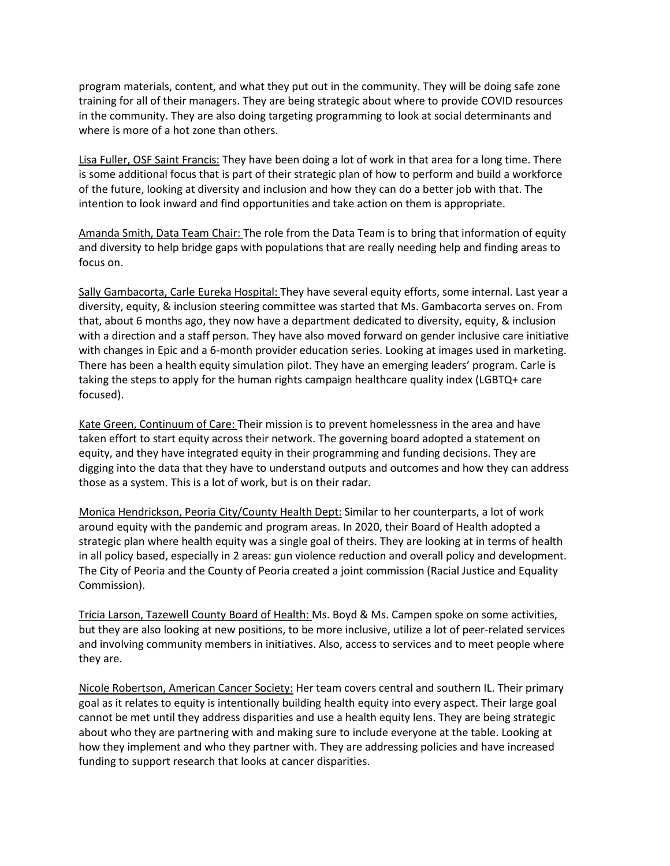program materials, content, and what they put out in the community. They will be doing safe zone training for all of their managers. They are being strategic about where to provide COVID resources in the community. They are also doing targeting programming to look at social determinants and where is more of a hot zone than others.

Lisa Fuller, OSF Saint Francis: They have been doing a lot of work in that area for a long time. There is some additional focus that is part of their strategic plan of how to perform and build a workforce of the future, looking at diversity and inclusion and how they can do a better job with that. The intention to look inward and find opportunities and take action on them is appropriate.

Amanda Smith, Data Team Chair: The role from the Data Team is to bring that information of equity and diversity to help bridge gaps with populations that are really needing help and finding areas to focus on.

Sally Gambacorta, Carle Eureka Hospital: They have several equity efforts, some internal. Last year a diversity, equity, & inclusion steering committee was started that Ms. Gambacorta serves on. From that, about 6 months ago, they now have a department dedicated to diversity, equity, & inclusion with a direction and a staff person. They have also moved forward on gender inclusive care initiative with changes in Epic and a 6-month provider education series. Looking at images used in marketing. There has been a health equity simulation pilot. They have an emerging leaders' program. Carle is taking the steps to apply for the human rights campaign healthcare quality index (LGBTQ+ care focused).

Kate Green, Continuum of Care: Their mission is to prevent homelessness in the area and have taken effort to start equity across their network. The governing board adopted a statement on equity, and they have integrated equity in their programming and funding decisions. They are digging into the data that they have to understand outputs and outcomes and how they can address those as a system. This is a lot of work, but is on their radar.

Monica Hendrickson, Peoria City/County Health Dept: Similar to her counterparts, a lot of work around equity with the pandemic and program areas. In 2020, their Board of Health adopted a strategic plan where health equity was a single goal of theirs. They are looking at in terms of health in all policy based, especially in 2 areas: gun violence reduction and overall policy and development. The City of Peoria and the County of Peoria created a joint commission (Racial Justice and Equality Commission).

Tricia Larson, Tazewell County Board of Health: Ms. Boyd & Ms. Campen spoke on some activities, but they are also looking at new positions, to be more inclusive, utilize a lot of peer-related services and involving community members in initiatives. Also, access to services and to meet people where they are.

Nicole Robertson, American Cancer Society: Her team covers central and southern IL. Their primary goal as it relates to equity is intentionally building health equity into every aspect. Their large goal cannot be met until they address disparities and use a health equity lens. They are being strategic about who they are partnering with and making sure to include everyone at the table. Looking at how they implement and who they partner with. They are addressing policies and have increased funding to support research that looks at cancer disparities.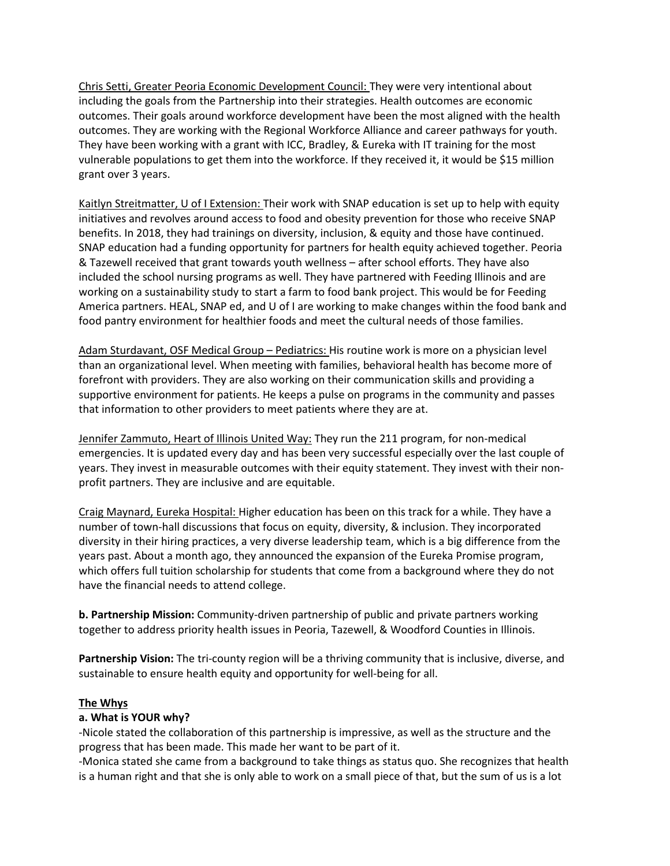Chris Setti, Greater Peoria Economic Development Council: They were very intentional about including the goals from the Partnership into their strategies. Health outcomes are economic outcomes. Their goals around workforce development have been the most aligned with the health outcomes. They are working with the Regional Workforce Alliance and career pathways for youth. They have been working with a grant with ICC, Bradley, & Eureka with IT training for the most vulnerable populations to get them into the workforce. If they received it, it would be \$15 million grant over 3 years.

Kaitlyn Streitmatter, U of I Extension: Their work with SNAP education is set up to help with equity initiatives and revolves around access to food and obesity prevention for those who receive SNAP benefits. In 2018, they had trainings on diversity, inclusion, & equity and those have continued. SNAP education had a funding opportunity for partners for health equity achieved together. Peoria & Tazewell received that grant towards youth wellness – after school efforts. They have also included the school nursing programs as well. They have partnered with Feeding Illinois and are working on a sustainability study to start a farm to food bank project. This would be for Feeding America partners. HEAL, SNAP ed, and U of I are working to make changes within the food bank and food pantry environment for healthier foods and meet the cultural needs of those families.

Adam Sturdavant, OSF Medical Group - Pediatrics: His routine work is more on a physician level than an organizational level. When meeting with families, behavioral health has become more of forefront with providers. They are also working on their communication skills and providing a supportive environment for patients. He keeps a pulse on programs in the community and passes that information to other providers to meet patients where they are at.

Jennifer Zammuto, Heart of Illinois United Way: They run the 211 program, for non-medical emergencies. It is updated every day and has been very successful especially over the last couple of years. They invest in measurable outcomes with their equity statement. They invest with their nonprofit partners. They are inclusive and are equitable.

Craig Maynard, Eureka Hospital: Higher education has been on this track for a while. They have a number of town-hall discussions that focus on equity, diversity, & inclusion. They incorporated diversity in their hiring practices, a very diverse leadership team, which is a big difference from the years past. About a month ago, they announced the expansion of the Eureka Promise program, which offers full tuition scholarship for students that come from a background where they do not have the financial needs to attend college.

**b. Partnership Mission:** Community-driven partnership of public and private partners working together to address priority health issues in Peoria, Tazewell, & Woodford Counties in Illinois.

**Partnership Vision:** The tri-county region will be a thriving community that is inclusive, diverse, and sustainable to ensure health equity and opportunity for well-being for all.

## **The Whys**

#### **a. What is YOUR why?**

-Nicole stated the collaboration of this partnership is impressive, as well as the structure and the progress that has been made. This made her want to be part of it.

-Monica stated she came from a background to take things as status quo. She recognizes that health is a human right and that she is only able to work on a small piece of that, but the sum of us is a lot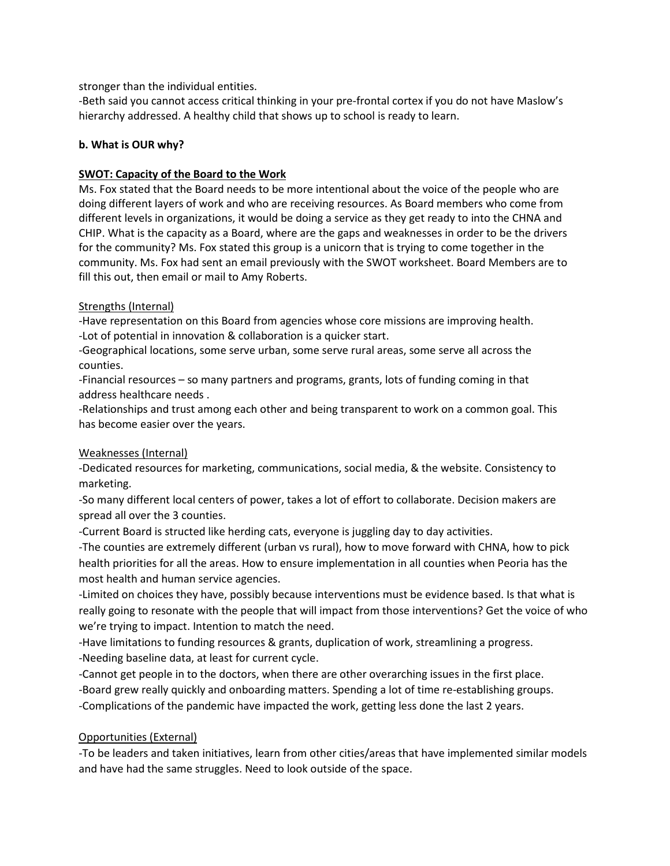stronger than the individual entities.

-Beth said you cannot access critical thinking in your pre-frontal cortex if you do not have Maslow's hierarchy addressed. A healthy child that shows up to school is ready to learn.

## **b. What is OUR why?**

## **SWOT: Capacity of the Board to the Work**

Ms. Fox stated that the Board needs to be more intentional about the voice of the people who are doing different layers of work and who are receiving resources. As Board members who come from different levels in organizations, it would be doing a service as they get ready to into the CHNA and CHIP. What is the capacity as a Board, where are the gaps and weaknesses in order to be the drivers for the community? Ms. Fox stated this group is a unicorn that is trying to come together in the community. Ms. Fox had sent an email previously with the SWOT worksheet. Board Members are to fill this out, then email or mail to Amy Roberts.

## Strengths (Internal)

-Have representation on this Board from agencies whose core missions are improving health. -Lot of potential in innovation & collaboration is a quicker start.

-Geographical locations, some serve urban, some serve rural areas, some serve all across the counties.

-Financial resources – so many partners and programs, grants, lots of funding coming in that address healthcare needs .

-Relationships and trust among each other and being transparent to work on a common goal. This has become easier over the years.

## Weaknesses (Internal)

-Dedicated resources for marketing, communications, social media, & the website. Consistency to marketing.

-So many different local centers of power, takes a lot of effort to collaborate. Decision makers are spread all over the 3 counties.

-Current Board is structed like herding cats, everyone is juggling day to day activities.

-The counties are extremely different (urban vs rural), how to move forward with CHNA, how to pick health priorities for all the areas. How to ensure implementation in all counties when Peoria has the most health and human service agencies.

-Limited on choices they have, possibly because interventions must be evidence based. Is that what is really going to resonate with the people that will impact from those interventions? Get the voice of who we're trying to impact. Intention to match the need.

-Have limitations to funding resources & grants, duplication of work, streamlining a progress.

-Needing baseline data, at least for current cycle.

-Cannot get people in to the doctors, when there are other overarching issues in the first place.

-Board grew really quickly and onboarding matters. Spending a lot of time re-establishing groups.

-Complications of the pandemic have impacted the work, getting less done the last 2 years.

# Opportunities (External)

-To be leaders and taken initiatives, learn from other cities/areas that have implemented similar models and have had the same struggles. Need to look outside of the space.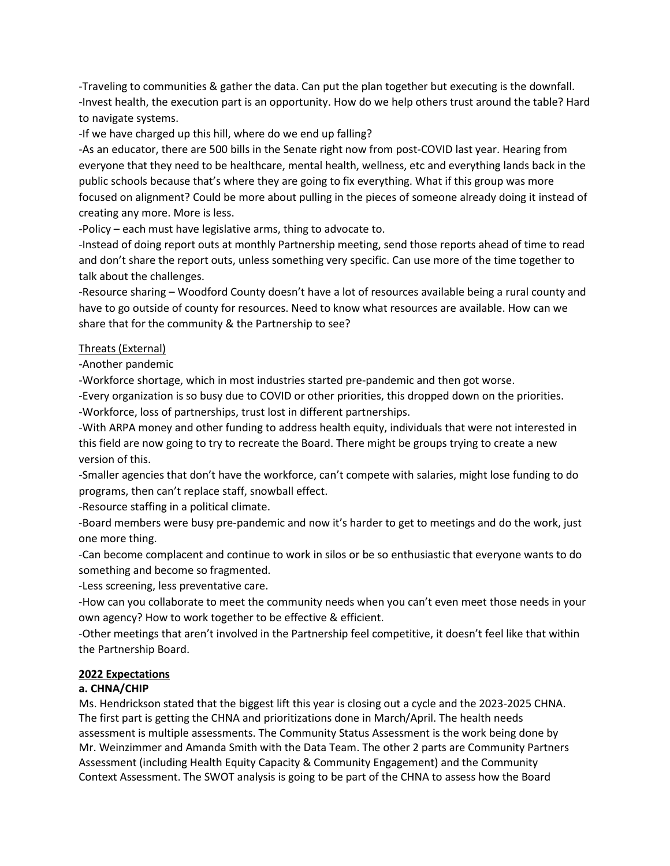-Traveling to communities & gather the data. Can put the plan together but executing is the downfall. -Invest health, the execution part is an opportunity. How do we help others trust around the table? Hard to navigate systems.

-If we have charged up this hill, where do we end up falling?

-As an educator, there are 500 bills in the Senate right now from post-COVID last year. Hearing from everyone that they need to be healthcare, mental health, wellness, etc and everything lands back in the public schools because that's where they are going to fix everything. What if this group was more focused on alignment? Could be more about pulling in the pieces of someone already doing it instead of creating any more. More is less.

-Policy – each must have legislative arms, thing to advocate to.

-Instead of doing report outs at monthly Partnership meeting, send those reports ahead of time to read and don't share the report outs, unless something very specific. Can use more of the time together to talk about the challenges.

-Resource sharing – Woodford County doesn't have a lot of resources available being a rural county and have to go outside of county for resources. Need to know what resources are available. How can we share that for the community & the Partnership to see?

## Threats (External)

-Another pandemic

-Workforce shortage, which in most industries started pre-pandemic and then got worse.

-Every organization is so busy due to COVID or other priorities, this dropped down on the priorities. -Workforce, loss of partnerships, trust lost in different partnerships.

-With ARPA money and other funding to address health equity, individuals that were not interested in this field are now going to try to recreate the Board. There might be groups trying to create a new version of this.

-Smaller agencies that don't have the workforce, can't compete with salaries, might lose funding to do programs, then can't replace staff, snowball effect.

-Resource staffing in a political climate.

-Board members were busy pre-pandemic and now it's harder to get to meetings and do the work, just one more thing.

-Can become complacent and continue to work in silos or be so enthusiastic that everyone wants to do something and become so fragmented.

-Less screening, less preventative care.

-How can you collaborate to meet the community needs when you can't even meet those needs in your own agency? How to work together to be effective & efficient.

-Other meetings that aren't involved in the Partnership feel competitive, it doesn't feel like that within the Partnership Board.

## **2022 Expectations**

## **a. CHNA/CHIP**

Ms. Hendrickson stated that the biggest lift this year is closing out a cycle and the 2023-2025 CHNA. The first part is getting the CHNA and prioritizations done in March/April. The health needs assessment is multiple assessments. The Community Status Assessment is the work being done by Mr. Weinzimmer and Amanda Smith with the Data Team. The other 2 parts are Community Partners Assessment (including Health Equity Capacity & Community Engagement) and the Community Context Assessment. The SWOT analysis is going to be part of the CHNA to assess how the Board